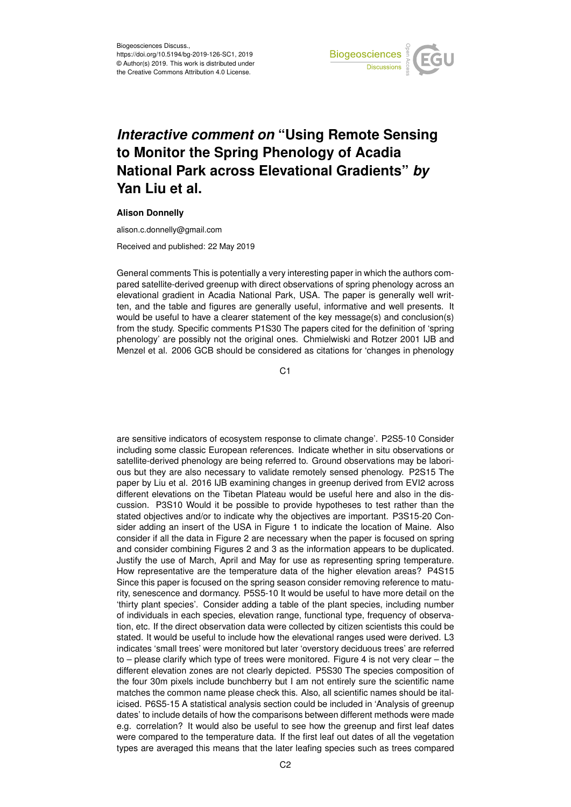

## *Interactive comment on* **"Using Remote Sensing to Monitor the Spring Phenology of Acadia National Park across Elevational Gradients"** *by* **Yan Liu et al.**

## **Alison Donnelly**

alison.c.donnelly@gmail.com

Received and published: 22 May 2019

General comments This is potentially a very interesting paper in which the authors compared satellite-derived greenup with direct observations of spring phenology across an elevational gradient in Acadia National Park, USA. The paper is generally well written, and the table and figures are generally useful, informative and well presents. It would be useful to have a clearer statement of the key message(s) and conclusion(s) from the study. Specific comments P1S30 The papers cited for the definition of 'spring phenology' are possibly not the original ones. Chmielwiski and Rotzer 2001 IJB and Menzel et al. 2006 GCB should be considered as citations for 'changes in phenology

 $C<sub>1</sub>$ 

are sensitive indicators of ecosystem response to climate change'. P2S5-10 Consider including some classic European references. Indicate whether in situ observations or satellite-derived phenology are being referred to. Ground observations may be laborious but they are also necessary to validate remotely sensed phenology. P2S15 The paper by Liu et al. 2016 IJB examining changes in greenup derived from EVI2 across different elevations on the Tibetan Plateau would be useful here and also in the discussion. P3S10 Would it be possible to provide hypotheses to test rather than the stated objectives and/or to indicate why the objectives are important. P3S15-20 Consider adding an insert of the USA in Figure 1 to indicate the location of Maine. Also consider if all the data in Figure 2 are necessary when the paper is focused on spring and consider combining Figures 2 and 3 as the information appears to be duplicated. Justify the use of March, April and May for use as representing spring temperature. How representative are the temperature data of the higher elevation areas? P4S15 Since this paper is focused on the spring season consider removing reference to maturity, senescence and dormancy. P5S5-10 It would be useful to have more detail on the 'thirty plant species'. Consider adding a table of the plant species, including number of individuals in each species, elevation range, functional type, frequency of observation, etc. If the direct observation data were collected by citizen scientists this could be stated. It would be useful to include how the elevational ranges used were derived. L3 indicates 'small trees' were monitored but later 'overstory deciduous trees' are referred to – please clarify which type of trees were monitored. Figure 4 is not very clear – the different elevation zones are not clearly depicted. P5S30 The species composition of the four 30m pixels include bunchberry but I am not entirely sure the scientific name matches the common name please check this. Also, all scientific names should be italicised. P6S5-15 A statistical analysis section could be included in 'Analysis of greenup dates' to include details of how the comparisons between different methods were made e.g. correlation? It would also be useful to see how the greenup and first leaf dates were compared to the temperature data. If the first leaf out dates of all the vegetation types are averaged this means that the later leafing species such as trees compared